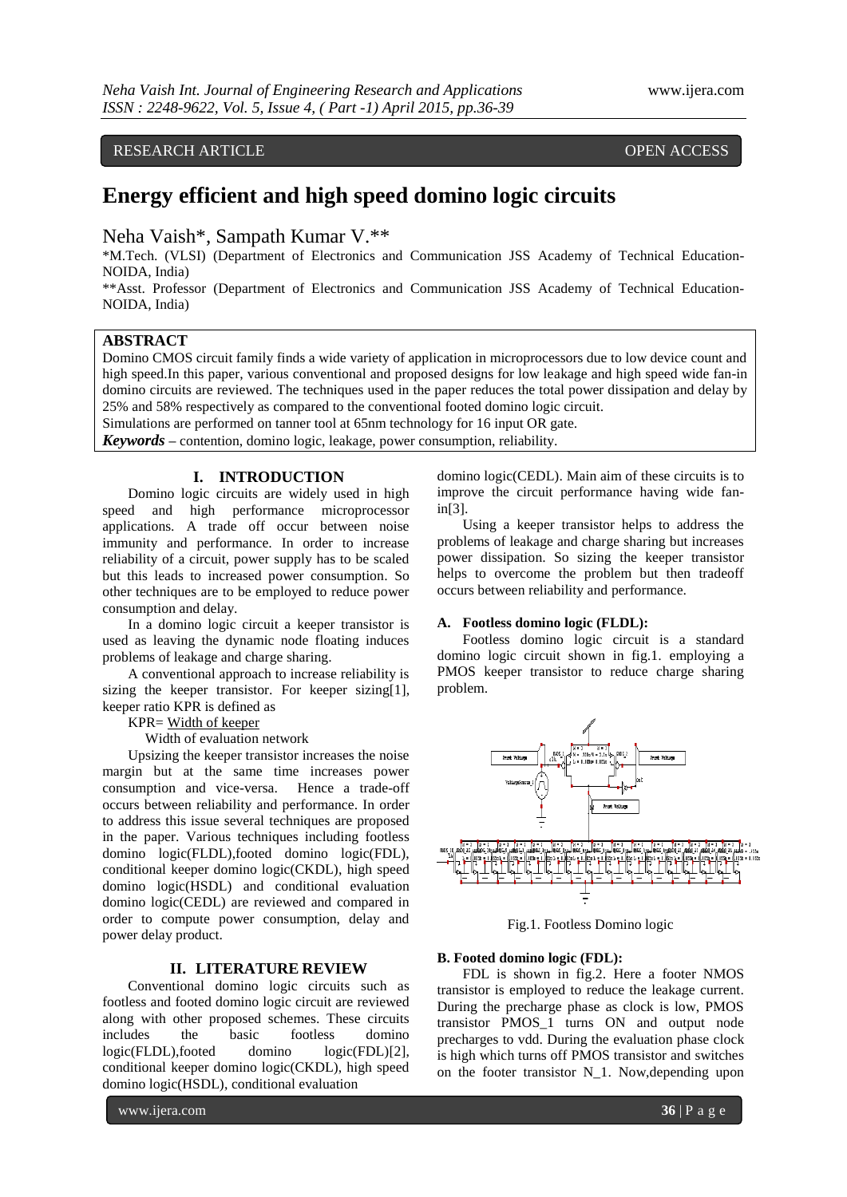# RESEARCH ARTICLE OPEN ACCESS

# **Energy efficient and high speed domino logic circuits**

Neha Vaish\*, Sampath Kumar V.\*\*

\*M.Tech. (VLSI) (Department of Electronics and Communication JSS Academy of Technical Education-NOIDA, India)

\*\*Asst. Professor (Department of Electronics and Communication JSS Academy of Technical Education-NOIDA, India)

# **ABSTRACT**

Domino CMOS circuit family finds a wide variety of application in microprocessors due to low device count and high speed.In this paper, various conventional and proposed designs for low leakage and high speed wide fan-in domino circuits are reviewed. The techniques used in the paper reduces the total power dissipation and delay by 25% and 58% respectively as compared to the conventional footed domino logic circuit.

Simulations are performed on tanner tool at 65nm technology for 16 input OR gate.

*Keywords* **–** contention, domino logic, leakage, power consumption, reliability.

# **I. INTRODUCTION**

Domino logic circuits are widely used in high speed and high performance microprocessor applications. A trade off occur between noise immunity and performance. In order to increase reliability of a circuit, power supply has to be scaled but this leads to increased power consumption. So other techniques are to be employed to reduce power consumption and delay.

In a domino logic circuit a keeper transistor is used as leaving the dynamic node floating induces problems of leakage and charge sharing.

A conventional approach to increase reliability is sizing the keeper transistor. For keeper sizing[1], keeper ratio KPR is defined as

KPR= Width of keeper

Width of evaluation network

Upsizing the keeper transistor increases the noise margin but at the same time increases power consumption and vice-versa. Hence a trade-off occurs between reliability and performance. In order to address this issue several techniques are proposed in the paper. Various techniques including footless domino logic(FLDL),footed domino logic(FDL), conditional keeper domino logic(CKDL), high speed domino logic(HSDL) and conditional evaluation domino logic(CEDL) are reviewed and compared in order to compute power consumption, delay and power delay product.

#### **II. LITERATURE REVIEW**

Conventional domino logic circuits such as footless and footed domino logic circuit are reviewed along with other proposed schemes. These circuits includes the basic footless domino logic(FLDL),footed domino logic(FDL)[2], conditional keeper domino logic(CKDL), high speed domino logic(HSDL), conditional evaluation

www.ijera.com **36** | P a g e

domino logic(CEDL). Main aim of these circuits is to improve the circuit performance having wide fanin[3].

Using a keeper transistor helps to address the problems of leakage and charge sharing but increases power dissipation. So sizing the keeper transistor helps to overcome the problem but then tradeoff occurs between reliability and performance.

## **A. Footless domino logic (FLDL):**

Footless domino logic circuit is a standard domino logic circuit shown in fig.1. employing a PMOS keeper transistor to reduce charge sharing problem.



Fig.1. Footless Domino logic

# **B. Footed domino logic (FDL):**

FDL is shown in fig.2. Here a footer NMOS transistor is employed to reduce the leakage current. During the precharge phase as clock is low, PMOS transistor PMOS\_1 turns ON and output node precharges to vdd. During the evaluation phase clock is high which turns off PMOS transistor and switches on the footer transistor N\_1. Now,depending upon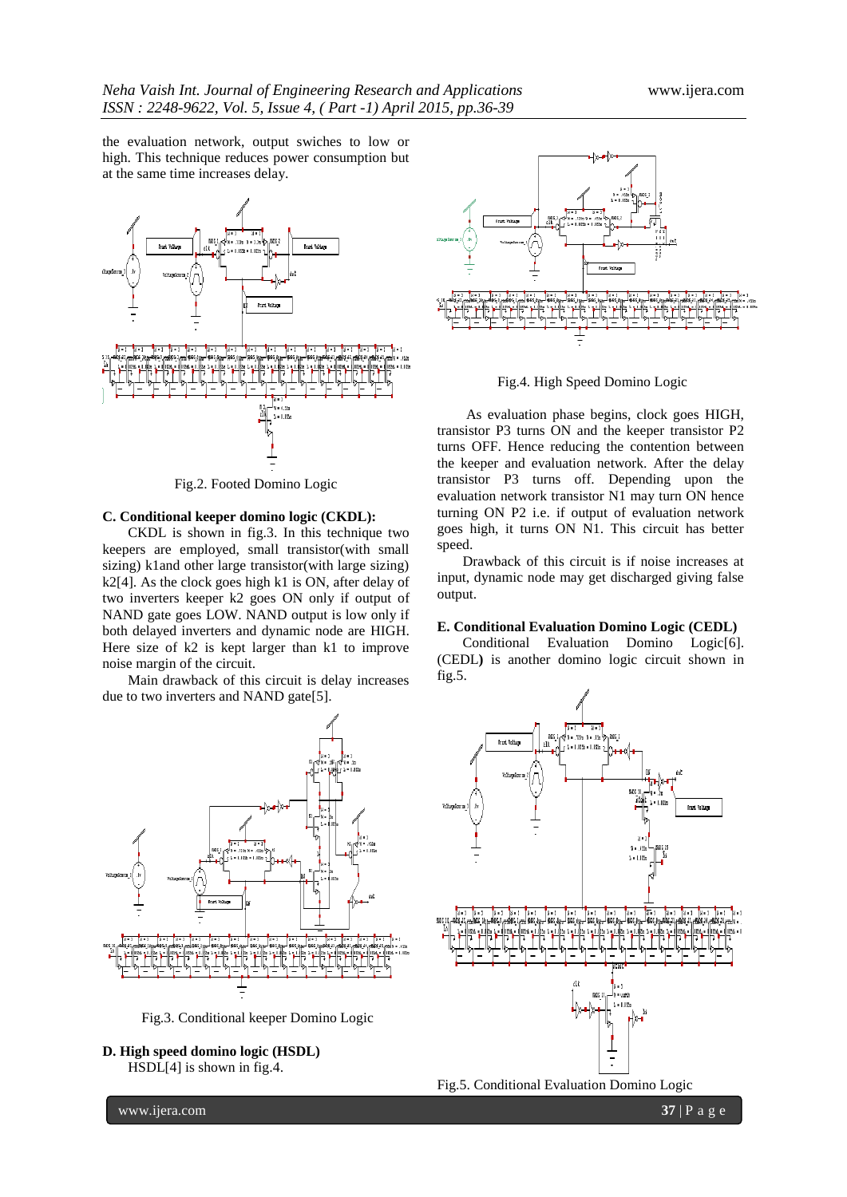the evaluation network, output swiches to low or high. This technique reduces power consumption but at the same time increases delay.



Fig.2. Footed Domino Logic

#### **C. Conditional keeper domino logic (CKDL):**

CKDL is shown in fig.3. In this technique two keepers are employed, small transistor(with small sizing) k1and other large transistor(with large sizing) k2[4]. As the clock goes high k1 is ON, after delay of two inverters keeper k2 goes ON only if output of NAND gate goes LOW. NAND output is low only if both delayed inverters and dynamic node are HIGH. Here size of k2 is kept larger than k1 to improve noise margin of the circuit.

Main drawback of this circuit is delay increases due to two inverters and NAND gate[5].



Fig.3. Conditional keeper Domino Logic





Fig.4. High Speed Domino Logic

As evaluation phase begins, clock goes HIGH, transistor P3 turns ON and the keeper transistor P2 turns OFF. Hence reducing the contention between the keeper and evaluation network. After the delay transistor P3 turns off. Depending upon the evaluation network transistor N1 may turn ON hence turning ON P2 i.e. if output of evaluation network goes high, it turns ON N1. This circuit has better speed.

Drawback of this circuit is if noise increases at input, dynamic node may get discharged giving false output.

#### **E. Conditional Evaluation Domino Logic (CEDL)**

Conditional Evaluation Domino Logic[6]. (CEDL**)** is another domino logic circuit shown in fig.5.



www.ijera.com **37** | P a g e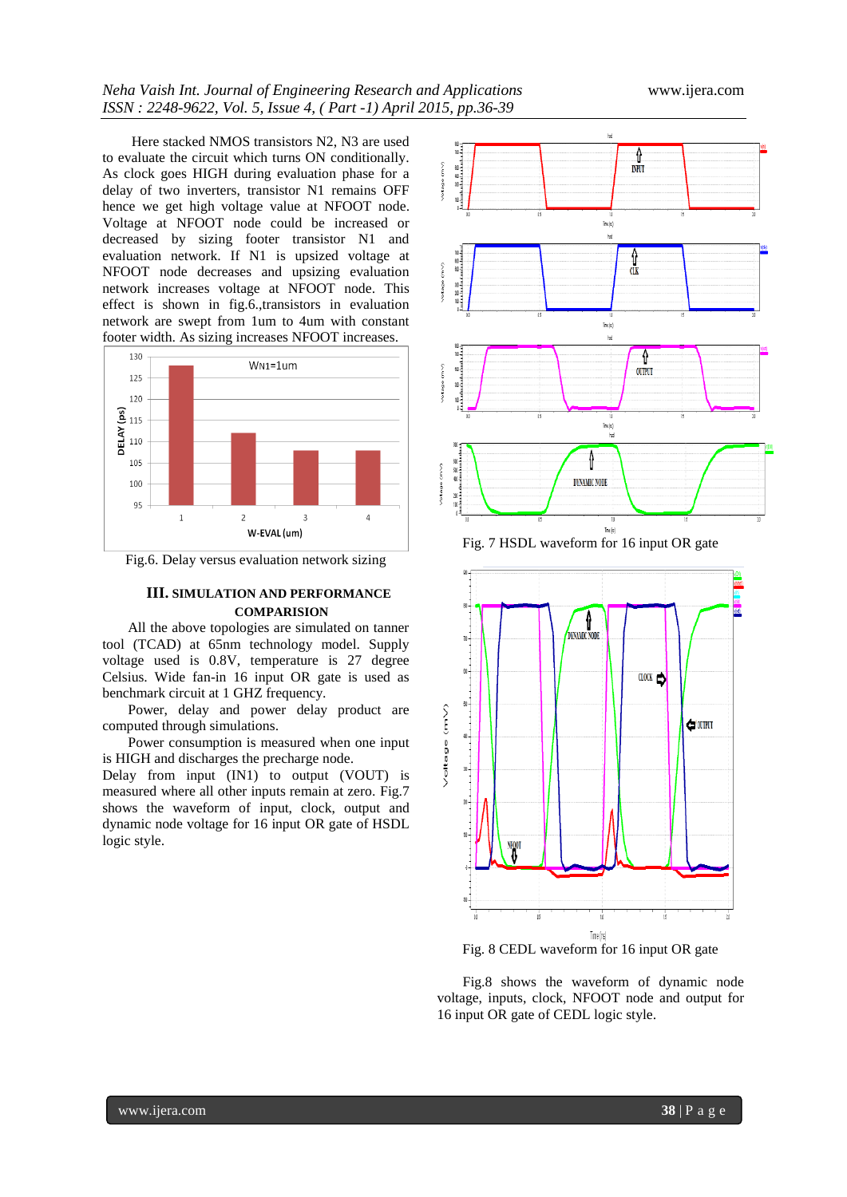Here stacked NMOS transistors N2, N3 are used to evaluate the circuit which turns ON conditionally. As clock goes HIGH during evaluation phase for a delay of two inverters, transistor N1 remains OFF hence we get high voltage value at NFOOT node. Voltage at NFOOT node could be increased or decreased by sizing footer transistor N1 and evaluation network. If N1 is upsized voltage at NFOOT node decreases and upsizing evaluation network increases voltage at NFOOT node. This effect is shown in fig.6.,transistors in evaluation network are swept from 1um to 4um with constant footer width. As sizing increases NFOOT increases.



Fig.6. Delay versus evaluation network sizing

#### **III. SIMULATION AND PERFORMANCE COMPARISION**

All the above topologies are simulated on tanner tool (TCAD) at 65nm technology model. Supply voltage used is 0.8V, temperature is 27 degree Celsius. Wide fan-in 16 input OR gate is used as benchmark circuit at 1 GHZ frequency.

Power, delay and power delay product are computed through simulations.

Power consumption is measured when one input is HIGH and discharges the precharge node.

Delay from input (IN1) to output (VOUT) is measured where all other inputs remain at zero. Fig.7 shows the waveform of input, clock, output and dynamic node voltage for 16 input OR gate of HSDL logic style.



Fig. 7 HSDL waveform for 16 input OR gate



Fig. 8 CEDL waveform for 16 input OR gate

Fig.8 shows the waveform of dynamic node voltage, inputs, clock, NFOOT node and output for 16 input OR gate of CEDL logic style.